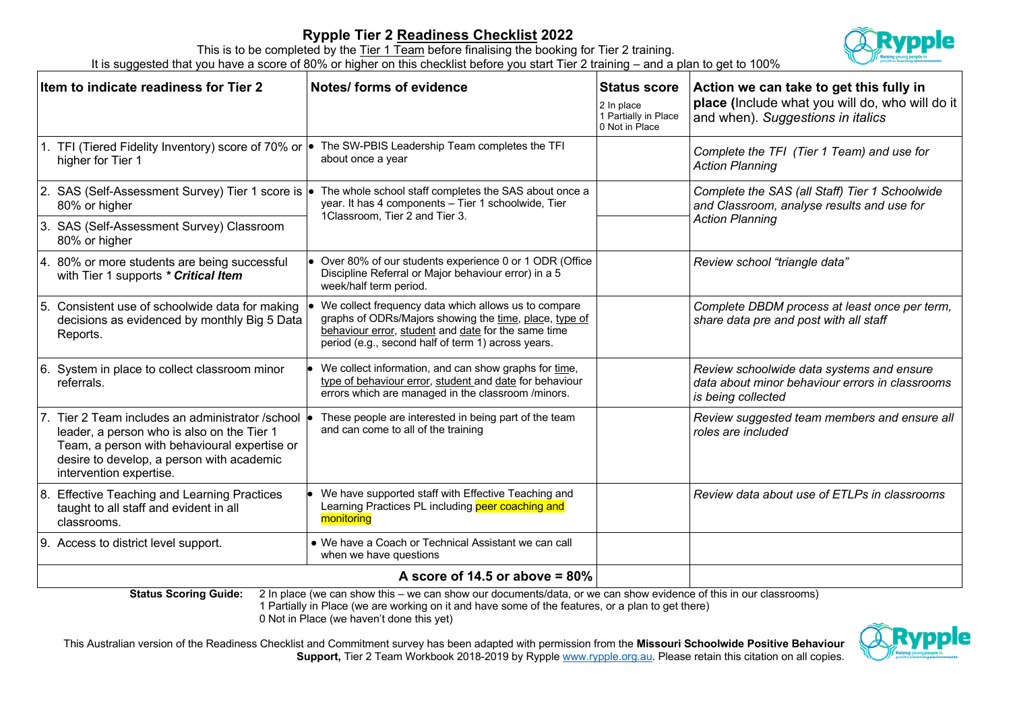## **Rypple Tier 2 Readiness Checklist 2022**



This is to be completed by the Tier 1 Team before finalising the booking for Tier 2 training. It is suggested that you have a score of 80% or higher on this checklist before you start Tier 2 training – and a plan to get to 100%

| Item to indicate readiness for Tier 2                                                                                                                                                                                  | Notes/ forms of evidence                                                                                                                                                                                                    | <b>Status score</b><br>2 In place<br>1 Partially in Place<br>0 Not in Place | Action we can take to get this fully in<br>place (Include what you will do, who will do it<br>and when). Suggestions in italics |  |  |
|------------------------------------------------------------------------------------------------------------------------------------------------------------------------------------------------------------------------|-----------------------------------------------------------------------------------------------------------------------------------------------------------------------------------------------------------------------------|-----------------------------------------------------------------------------|---------------------------------------------------------------------------------------------------------------------------------|--|--|
| 1. TFI (Tiered Fidelity Inventory) score of 70% or $\bullet$<br>higher for Tier 1                                                                                                                                      | The SW-PBIS Leadership Team completes the TFI<br>about once a year                                                                                                                                                          |                                                                             | Complete the TFI (Tier 1 Team) and use for<br><b>Action Planning</b>                                                            |  |  |
| 2. SAS (Self-Assessment Survey) Tier 1 score is<br>80% or higher                                                                                                                                                       | The whole school staff completes the SAS about once a<br>year. It has 4 components - Tier 1 schoolwide, Tier<br>1Classroom, Tier 2 and Tier 3.                                                                              |                                                                             | Complete the SAS (all Staff) Tier 1 Schoolwide<br>and Classroom, analyse results and use for<br><b>Action Planning</b>          |  |  |
| 3. SAS (Self-Assessment Survey) Classroom<br>80% or higher                                                                                                                                                             |                                                                                                                                                                                                                             |                                                                             |                                                                                                                                 |  |  |
| 4. 80% or more students are being successful<br>with Tier 1 supports * Critical Item                                                                                                                                   | • Over 80% of our students experience 0 or 1 ODR (Office<br>Discipline Referral or Major behaviour error) in a 5<br>week/half term period.                                                                                  |                                                                             | Review school "triangle data"                                                                                                   |  |  |
| 5. Consistent use of schoolwide data for making<br>decisions as evidenced by monthly Big 5 Data<br>Reports.                                                                                                            | We collect frequency data which allows us to compare<br>graphs of ODRs/Majors showing the time, place, type of<br>behaviour error, student and date for the same time<br>period (e.g., second half of term 1) across years. |                                                                             | Complete DBDM process at least once per term,<br>share data pre and post with all staff                                         |  |  |
| 6. System in place to collect classroom minor<br>referrals.                                                                                                                                                            | We collect information, and can show graphs for time,<br>type of behaviour error, student and date for behaviour<br>errors which are managed in the classroom /minors.                                                      |                                                                             | Review schoolwide data systems and ensure<br>data about minor behaviour errors in classrooms<br>is being collected              |  |  |
| 7. Tier 2 Team includes an administrator /school<br>leader, a person who is also on the Tier 1<br>Team, a person with behavioural expertise or<br>desire to develop, a person with academic<br>intervention expertise. | These people are interested in being part of the team<br>and can come to all of the training                                                                                                                                |                                                                             | Review suggested team members and ensure all<br>roles are included                                                              |  |  |
| 8. Effective Teaching and Learning Practices<br>taught to all staff and evident in all<br>classrooms.                                                                                                                  | We have supported staff with Effective Teaching and<br>Learning Practices PL including peer coaching and<br>monitoring                                                                                                      |                                                                             | Review data about use of ETLPs in classrooms                                                                                    |  |  |
| 9. Access to district level support.                                                                                                                                                                                   | • We have a Coach or Technical Assistant we can call<br>when we have questions                                                                                                                                              |                                                                             |                                                                                                                                 |  |  |
| A score of 14.5 or above $= 80\%$                                                                                                                                                                                      |                                                                                                                                                                                                                             |                                                                             |                                                                                                                                 |  |  |

**Status Scoring Guide:** 2 In place (we can show this – we can show our documents/data, or we can show evidence of this in our classrooms) 1 Partially in Place (we are working on it and have some of the features, or a plan to get there) 0 Not in Place (we haven't done this yet)

This Australian version of the Readiness Checklist and Commitment survey has been adapted with permission from the **Missouri Schoolwide Positive Behaviour Support,** Tier 2 Team Workbook 2018-2019 by Rypple www.rypple.org.au. Please retain this citation on all copies.